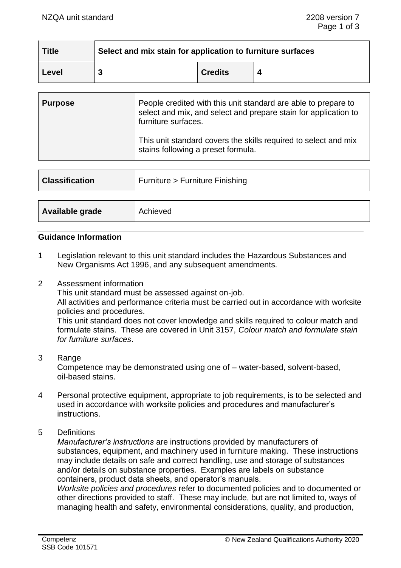| <b>Title</b> | Select and mix stain for application to furniture surfaces |                |  |  |
|--------------|------------------------------------------------------------|----------------|--|--|
| Level        |                                                            | <b>Credits</b> |  |  |

| <b>Purpose</b> | People credited with this unit standard are able to prepare to<br>select and mix, and select and prepare stain for application to<br>furniture surfaces. |
|----------------|----------------------------------------------------------------------------------------------------------------------------------------------------------|
|                | This unit standard covers the skills required to select and mix<br>stains following a preset formula.                                                    |

| <b>Classification</b> | Furniture > Furniture Finishing |
|-----------------------|---------------------------------|
|                       |                                 |
| Available grade       | Achieved                        |

#### **Guidance Information**

- 1 Legislation relevant to this unit standard includes the Hazardous Substances and New Organisms Act 1996, and any subsequent amendments.
- 2 Assessment information

This unit standard must be assessed against on-job.

All activities and performance criteria must be carried out in accordance with worksite policies and procedures.

This unit standard does not cover knowledge and skills required to colour match and formulate stains. These are covered in Unit 3157, *Colour match and formulate stain for furniture surfaces*.

### 3 Range

Competence may be demonstrated using one of – water-based, solvent-based, oil-based stains.

- 4 Personal protective equipment, appropriate to job requirements, is to be selected and used in accordance with worksite policies and procedures and manufacturer's instructions.
- 5 Definitions

*Manufacturer's instructions* are instructions provided by manufacturers of substances, equipment, and machinery used in furniture making. These instructions may include details on safe and correct handling, use and storage of substances and/or details on substance properties. Examples are labels on substance containers, product data sheets, and operator's manuals.

*Worksite policies and procedures* refer to documented policies and to documented or other directions provided to staff. These may include, but are not limited to, ways of managing health and safety, environmental considerations, quality, and production,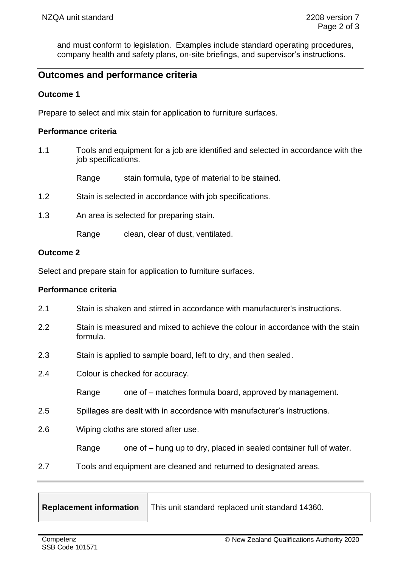and must conform to legislation. Examples include standard operating procedures, company health and safety plans, on-site briefings, and supervisor's instructions.

# **Outcomes and performance criteria**

### **Outcome 1**

Prepare to select and mix stain for application to furniture surfaces.

### **Performance criteria**

1.1 Tools and equipment for a job are identified and selected in accordance with the job specifications.

Range stain formula, type of material to be stained.

- 1.2 Stain is selected in accordance with job specifications.
- 1.3 An area is selected for preparing stain.

Range clean, clear of dust, ventilated.

#### **Outcome 2**

Select and prepare stain for application to furniture surfaces.

#### **Performance criteria**

- 2.1 Stain is shaken and stirred in accordance with manufacturer's instructions.
- 2.2 Stain is measured and mixed to achieve the colour in accordance with the stain formula.
- 2.3 Stain is applied to sample board, left to dry, and then sealed.
- 2.4 Colour is checked for accuracy.

Range one of – matches formula board, approved by management.

2.5 Spillages are dealt with in accordance with manufacturer's instructions.

2.6 Wiping cloths are stored after use.

Range one of – hung up to dry, placed in sealed container full of water.

2.7 Tools and equipment are cleaned and returned to designated areas.

 $\mathbf{\overline{1}}$